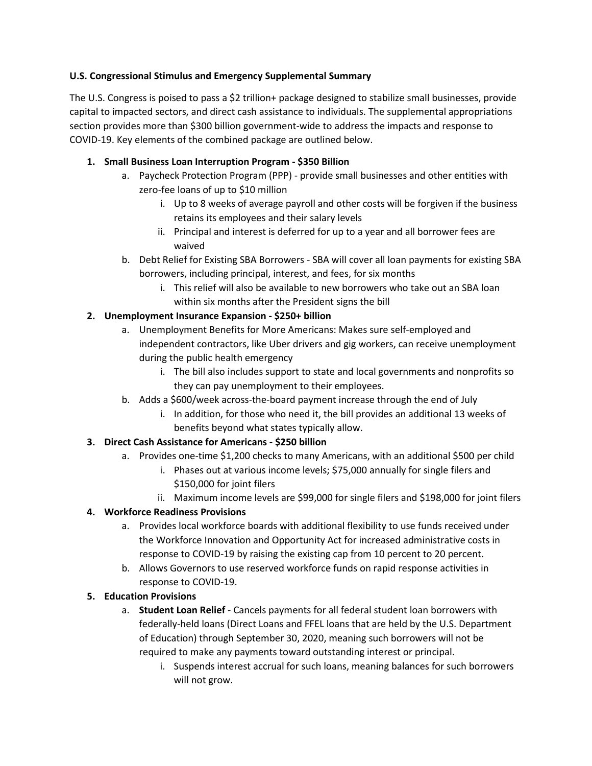### **U.S. Congressional Stimulus and Emergency Supplemental Summary**

The U.S. Congress is poised to pass a \$2 trillion+ package designed to stabilize small businesses, provide capital to impacted sectors, and direct cash assistance to individuals. The supplemental appropriations section provides more than \$300 billion government-wide to address the impacts and response to COVID-19. Key elements of the combined package are outlined below.

## **1. Small Business Loan Interruption Program - \$350 Billion**

- a. Paycheck Protection Program (PPP) provide small businesses and other entities with zero-fee loans of up to \$10 million
	- i. Up to 8 weeks of average payroll and other costs will be forgiven if the business retains its employees and their salary levels
	- ii. Principal and interest is deferred for up to a year and all borrower fees are waived
- b. Debt Relief for Existing SBA Borrowers SBA will cover all loan payments for existing SBA borrowers, including principal, interest, and fees, for six months
	- i. This relief will also be available to new borrowers who take out an SBA loan within six months after the President signs the bill

## **2. Unemployment Insurance Expansion - \$250+ billion**

- a. Unemployment Benefits for More Americans: Makes sure self-employed and independent contractors, like Uber drivers and gig workers, can receive unemployment during the public health emergency
	- i. The bill also includes support to state and local governments and nonprofits so they can pay unemployment to their employees.
- b. Adds a \$600/week across-the-board payment increase through the end of July
	- i. In addition, for those who need it, the bill provides an additional 13 weeks of benefits beyond what states typically allow.

### **3. Direct Cash Assistance for Americans - \$250 billion**

- a. Provides one-time \$1,200 checks to many Americans, with an additional \$500 per child
	- i. Phases out at various income levels; \$75,000 annually for single filers and \$150,000 for joint filers
	- ii. Maximum income levels are \$99,000 for single filers and \$198,000 for joint filers

# **4. Workforce Readiness Provisions**

- a. Provides local workforce boards with additional flexibility to use funds received under the Workforce Innovation and Opportunity Act for increased administrative costs in response to COVID-19 by raising the existing cap from 10 percent to 20 percent.
- b. Allows Governors to use reserved workforce funds on rapid response activities in response to COVID-19.

### **5. Education Provisions**

- a. **Student Loan Relief** Cancels payments for all federal student loan borrowers with federally-held loans (Direct Loans and FFEL loans that are held by the U.S. Department of Education) through September 30, 2020, meaning such borrowers will not be required to make any payments toward outstanding interest or principal.
	- i. Suspends interest accrual for such loans, meaning balances for such borrowers will not grow.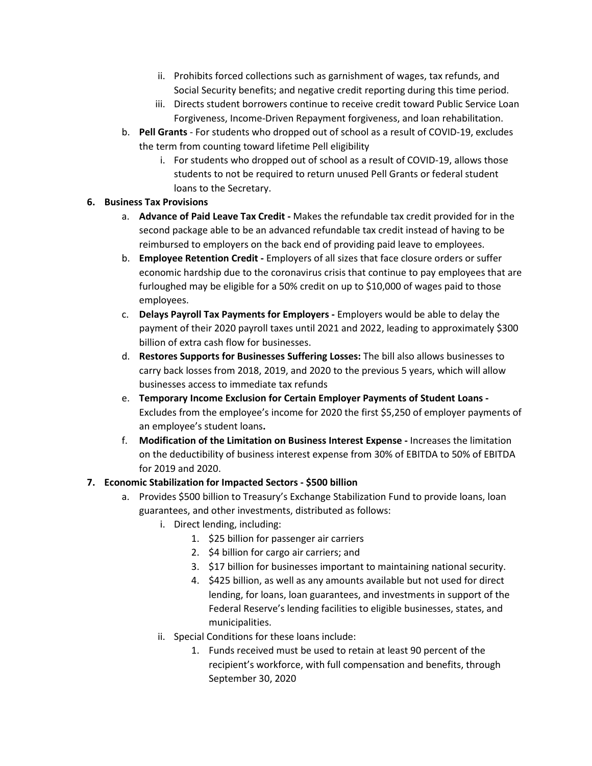- ii. Prohibits forced collections such as garnishment of wages, tax refunds, and Social Security benefits; and negative credit reporting during this time period.
- iii. Directs student borrowers continue to receive credit toward Public Service Loan Forgiveness, Income-Driven Repayment forgiveness, and loan rehabilitation.
- b. **Pell Grants** For students who dropped out of school as a result of COVID-19, excludes the term from counting toward lifetime Pell eligibility
	- i. For students who dropped out of school as a result of COVID-19, allows those students to not be required to return unused Pell Grants or federal student loans to the Secretary.

### **6. Business Tax Provisions**

- a. **Advance of Paid Leave Tax Credit -** Makes the refundable tax credit provided for in the second package able to be an advanced refundable tax credit instead of having to be reimbursed to employers on the back end of providing paid leave to employees.
- b. **Employee Retention Credit -** Employers of all sizes that face closure orders or suffer economic hardship due to the coronavirus crisis that continue to pay employees that are furloughed may be eligible for a 50% credit on up to \$10,000 of wages paid to those employees.
- c. **Delays Payroll Tax Payments for Employers -** Employers would be able to delay the payment of their 2020 payroll taxes until 2021 and 2022, leading to approximately \$300 billion of extra cash flow for businesses.
- d. **Restores Supports for Businesses Suffering Losses:** The bill also allows businesses to carry back losses from 2018, 2019, and 2020 to the previous 5 years, which will allow businesses access to immediate tax refunds
- e. **Temporary Income Exclusion for Certain Employer Payments of Student Loans -** Excludes from the employee's income for 2020 the first \$5,250 of employer payments of an employee's student loans**.**
- f. **Modification of the Limitation on Business Interest Expense -** Increases the limitation on the deductibility of business interest expense from 30% of EBITDA to 50% of EBITDA for 2019 and 2020.

### **7. Economic Stabilization for Impacted Sectors - \$500 billion**

- a. Provides \$500 billion to Treasury's Exchange Stabilization Fund to provide loans, loan guarantees, and other investments, distributed as follows:
	- i. Direct lending, including:
		- 1. \$25 billion for passenger air carriers
		- 2. \$4 billion for cargo air carriers; and
		- 3. \$17 billion for businesses important to maintaining national security.
		- 4. \$425 billion, as well as any amounts available but not used for direct lending, for loans, loan guarantees, and investments in support of the Federal Reserve's lending facilities to eligible businesses, states, and municipalities.
	- ii. Special Conditions for these loans include:
		- 1. Funds received must be used to retain at least 90 percent of the recipient's workforce, with full compensation and benefits, through September 30, 2020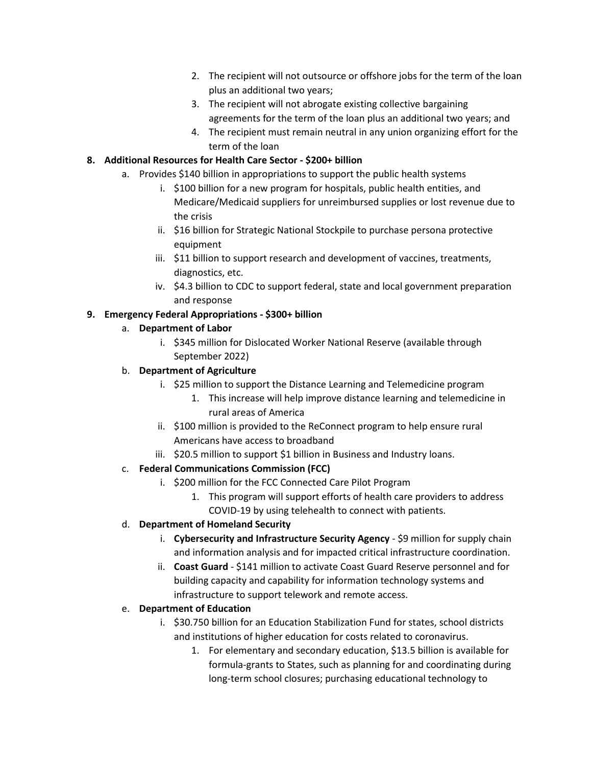- 2. The recipient will not outsource or offshore jobs for the term of the loan plus an additional two years;
- 3. The recipient will not abrogate existing collective bargaining agreements for the term of the loan plus an additional two years; and
- 4. The recipient must remain neutral in any union organizing effort for the term of the loan

## **8. Additional Resources for Health Care Sector - \$200+ billion**

- a. Provides \$140 billion in appropriations to support the public health systems
	- i. \$100 billion for a new program for hospitals, public health entities, and Medicare/Medicaid suppliers for unreimbursed supplies or lost revenue due to the crisis
	- ii. \$16 billion for Strategic National Stockpile to purchase persona protective equipment
	- iii. \$11 billion to support research and development of vaccines, treatments, diagnostics, etc.
	- iv. \$4.3 billion to CDC to support federal, state and local government preparation and response

## **9. Emergency Federal Appropriations - \$300+ billion**

### a. **Department of Labor**

i. \$345 million for Dislocated Worker National Reserve (available through September 2022)

## b. **Department of Agriculture**

- i. \$25 million to support the Distance Learning and Telemedicine program
	- 1. This increase will help improve distance learning and telemedicine in rural areas of America
- ii. \$100 million is provided to the ReConnect program to help ensure rural Americans have access to broadband
- iii. \$20.5 million to support \$1 billion in Business and Industry loans.

# c. **Federal Communications Commission (FCC)**

- i. \$200 million for the FCC Connected Care Pilot Program
	- 1. This program will support efforts of health care providers to address COVID-19 by using telehealth to connect with patients.

# d. **Department of Homeland Security**

- i. **Cybersecurity and Infrastructure Security Agency** \$9 million for supply chain and information analysis and for impacted critical infrastructure coordination.
- ii. **Coast Guard** \$141 million to activate Coast Guard Reserve personnel and for building capacity and capability for information technology systems and infrastructure to support telework and remote access.

# e. **Department of Education**

- i. \$30.750 billion for an Education Stabilization Fund for states, school districts and institutions of higher education for costs related to coronavirus.
	- 1. For elementary and secondary education, \$13.5 billion is available for formula-grants to States, such as planning for and coordinating during long-term school closures; purchasing educational technology to